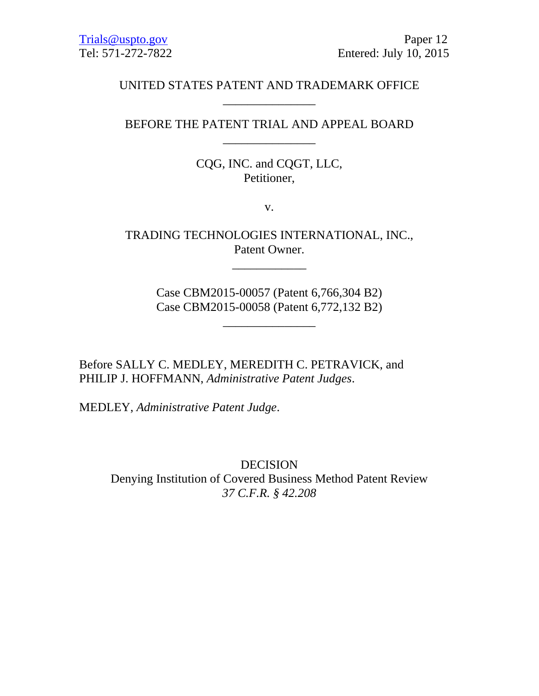# UNITED STATES PATENT AND TRADEMARK OFFICE \_\_\_\_\_\_\_\_\_\_\_\_\_\_\_

BEFORE THE PATENT TRIAL AND APPEAL BOARD \_\_\_\_\_\_\_\_\_\_\_\_\_\_\_

> CQG, INC. and CQGT, LLC, Petitioner,

> > v.

TRADING TECHNOLOGIES INTERNATIONAL, INC., Patent Owner.

\_\_\_\_\_\_\_\_\_\_\_\_

Case CBM2015-00057 (Patent 6,766,304 B2) Case CBM2015-00058 (Patent 6,772,132 B2)

\_\_\_\_\_\_\_\_\_\_\_\_\_\_\_

Before SALLY C. MEDLEY, MEREDITH C. PETRAVICK, and PHILIP J. HOFFMANN, *Administrative Patent Judges*.

MEDLEY, *Administrative Patent Judge*.

DECISION Denying Institution of Covered Business Method Patent Review *37 C.F.R. § 42.208*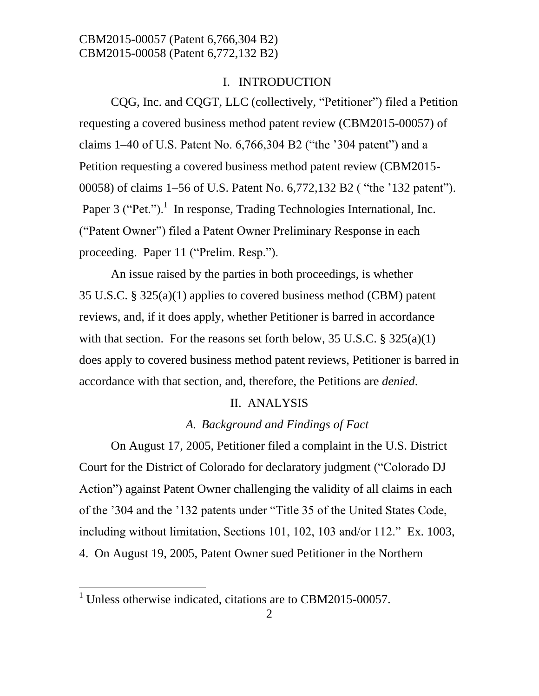#### I. INTRODUCTION

CQG, Inc. and CQGT, LLC (collectively, "Petitioner") filed a Petition requesting a covered business method patent review (CBM2015-00057) of claims 1–40 of U.S. Patent No. 6,766,304 B2 ("the '304 patent") and a Petition requesting a covered business method patent review (CBM2015- 00058) of claims 1–56 of U.S. Patent No. 6,772,132 B2 ( "the '132 patent"). Paper 3 ("Pet.").<sup>1</sup> In response, Trading Technologies International, Inc. ("Patent Owner") filed a Patent Owner Preliminary Response in each proceeding. Paper 11 ("Prelim. Resp.").

An issue raised by the parties in both proceedings, is whether 35 U.S.C. § 325(a)(1) applies to covered business method (CBM) patent reviews, and, if it does apply, whether Petitioner is barred in accordance with that section. For the reasons set forth below,  $35 \text{ U.S.C.}$   $\S 325(a)(1)$ does apply to covered business method patent reviews, Petitioner is barred in accordance with that section, and, therefore, the Petitions are *denied*.

#### II. ANALYSIS

#### *A. Background and Findings of Fact*

On August 17, 2005, Petitioner filed a complaint in the U.S. District Court for the District of Colorado for declaratory judgment ("Colorado DJ Action") against Patent Owner challenging the validity of all claims in each of the '304 and the '132 patents under "Title 35 of the United States Code, including without limitation, Sections 101, 102, 103 and/or 112." Ex. 1003, 4. On August 19, 2005, Patent Owner sued Petitioner in the Northern

 $\overline{a}$ 

<sup>&</sup>lt;sup>1</sup> Unless otherwise indicated, citations are to CBM2015-00057.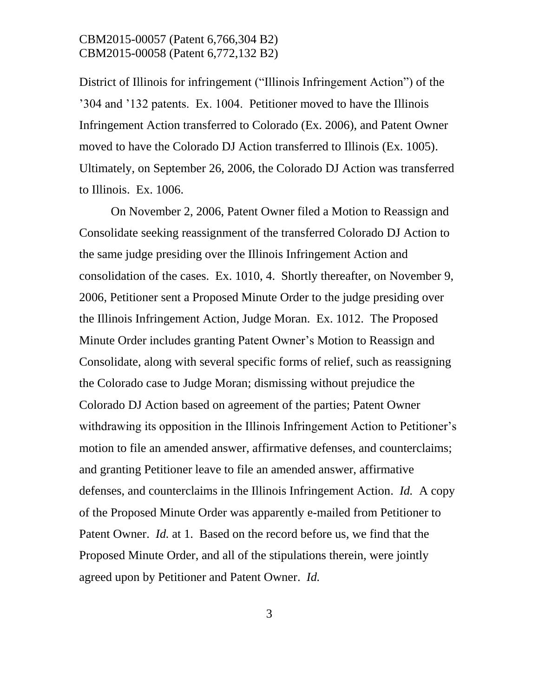District of Illinois for infringement ("Illinois Infringement Action") of the '304 and '132 patents. Ex. 1004. Petitioner moved to have the Illinois Infringement Action transferred to Colorado (Ex. 2006), and Patent Owner moved to have the Colorado DJ Action transferred to Illinois (Ex. 1005). Ultimately, on September 26, 2006, the Colorado DJ Action was transferred to Illinois. Ex. 1006.

On November 2, 2006, Patent Owner filed a Motion to Reassign and Consolidate seeking reassignment of the transferred Colorado DJ Action to the same judge presiding over the Illinois Infringement Action and consolidation of the cases. Ex. 1010, 4. Shortly thereafter, on November 9, 2006, Petitioner sent a Proposed Minute Order to the judge presiding over the Illinois Infringement Action, Judge Moran. Ex. 1012. The Proposed Minute Order includes granting Patent Owner's Motion to Reassign and Consolidate, along with several specific forms of relief, such as reassigning the Colorado case to Judge Moran; dismissing without prejudice the Colorado DJ Action based on agreement of the parties; Patent Owner withdrawing its opposition in the Illinois Infringement Action to Petitioner's motion to file an amended answer, affirmative defenses, and counterclaims; and granting Petitioner leave to file an amended answer, affirmative defenses, and counterclaims in the Illinois Infringement Action. *Id.* A copy of the Proposed Minute Order was apparently e-mailed from Petitioner to Patent Owner. *Id.* at 1. Based on the record before us, we find that the Proposed Minute Order, and all of the stipulations therein, were jointly agreed upon by Petitioner and Patent Owner. *Id.*

3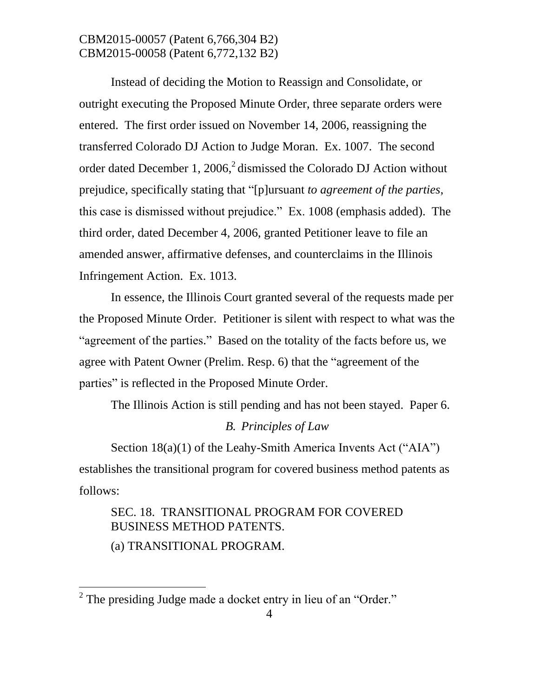Instead of deciding the Motion to Reassign and Consolidate, or outright executing the Proposed Minute Order, three separate orders were entered. The first order issued on November 14, 2006, reassigning the transferred Colorado DJ Action to Judge Moran. Ex. 1007. The second order dated December 1, 2006,<sup>2</sup> dismissed the Colorado DJ Action without prejudice, specifically stating that "[p]ursuant *to agreement of the parties*, this case is dismissed without prejudice." Ex. 1008 (emphasis added). The third order, dated December 4, 2006, granted Petitioner leave to file an amended answer, affirmative defenses, and counterclaims in the Illinois Infringement Action. Ex. 1013.

In essence, the Illinois Court granted several of the requests made per the Proposed Minute Order. Petitioner is silent with respect to what was the "agreement of the parties." Based on the totality of the facts before us, we agree with Patent Owner (Prelim. Resp. 6) that the "agreement of the parties" is reflected in the Proposed Minute Order.

The Illinois Action is still pending and has not been stayed. Paper 6.

#### *B. Principles of Law*

Section 18(a)(1) of the Leahy-Smith America Invents Act ("AIA") establishes the transitional program for covered business method patents as follows:

# SEC. 18. TRANSITIONAL PROGRAM FOR COVERED BUSINESS METHOD PATENTS.

(a) TRANSITIONAL PROGRAM.

 $\overline{a}$ 

 $2^2$  The presiding Judge made a docket entry in lieu of an "Order."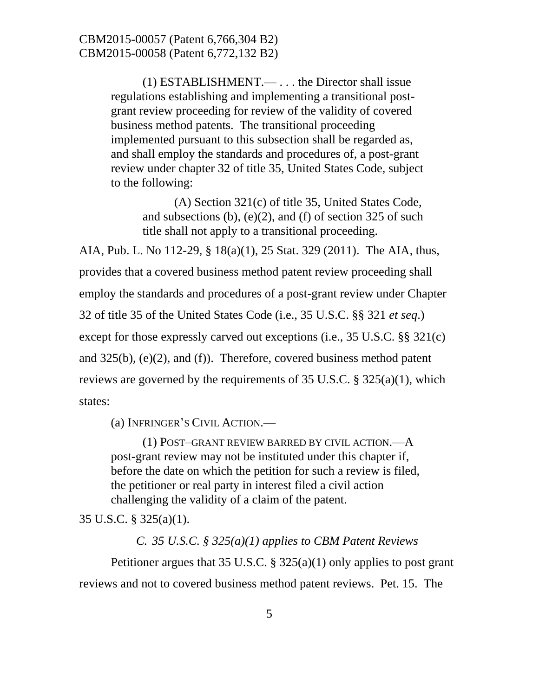(1) ESTABLISHMENT.— . . . the Director shall issue regulations establishing and implementing a transitional postgrant review proceeding for review of the validity of covered business method patents. The transitional proceeding implemented pursuant to this subsection shall be regarded as, and shall employ the standards and procedures of, a post-grant review under chapter 32 of title 35, United States Code, subject to the following:

(A) Section 321(c) of title 35, United States Code, and subsections (b), (e)(2), and (f) of section 325 of such title shall not apply to a transitional proceeding.

AIA, Pub. L. No 112-29, § 18(a)(1), 25 Stat. 329 (2011). The AIA, thus, provides that a covered business method patent review proceeding shall employ the standards and procedures of a post-grant review under Chapter 32 of title 35 of the United States Code (i.e., 35 U.S.C. §§ 321 *et seq*.) except for those expressly carved out exceptions (i.e., 35 U.S.C. §§ 321(c) and 325(b), (e)(2), and (f)). Therefore, covered business method patent reviews are governed by the requirements of 35 U.S.C. § 325(a)(1), which states:

(a) INFRINGER'S CIVIL ACTION.—

(1) POST–GRANT REVIEW BARRED BY CIVIL ACTION.—A post-grant review may not be instituted under this chapter if, before the date on which the petition for such a review is filed, the petitioner or real party in interest filed a civil action challenging the validity of a claim of the patent.

35 U.S.C. § 325(a)(1).

*C. 35 U.S.C. § 325(a)(1) applies to CBM Patent Reviews*

Petitioner argues that 35 U.S.C. § 325(a)(1) only applies to post grant reviews and not to covered business method patent reviews. Pet. 15. The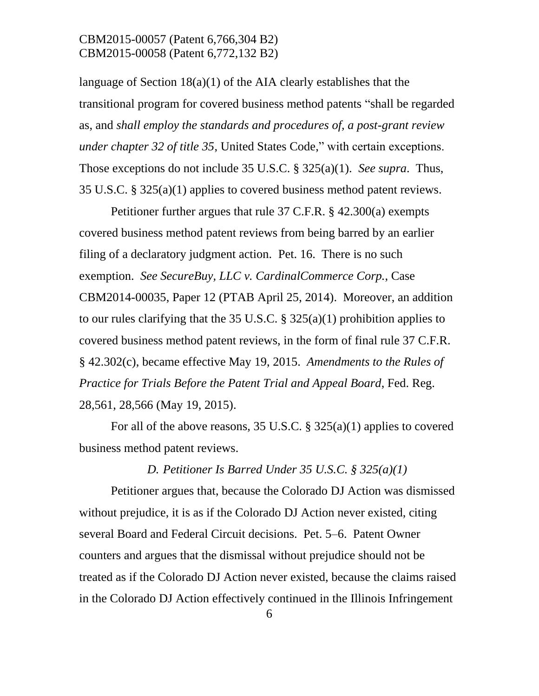language of Section 18(a)(1) of the AIA clearly establishes that the transitional program for covered business method patents "shall be regarded as, and *shall employ the standards and procedures of, a post-grant review under chapter 32 of title 35*, United States Code," with certain exceptions. Those exceptions do not include 35 U.S.C. § 325(a)(1). *See supra*. Thus, 35 U.S.C. § 325(a)(1) applies to covered business method patent reviews.

Petitioner further argues that rule 37 C.F.R. § 42.300(a) exempts covered business method patent reviews from being barred by an earlier filing of a declaratory judgment action. Pet. 16. There is no such exemption. *See SecureBuy, LLC v. CardinalCommerce Corp.*, Case CBM2014-00035, Paper 12 (PTAB April 25, 2014). Moreover, an addition to our rules clarifying that the 35 U.S.C. § 325(a)(1) prohibition applies to covered business method patent reviews, in the form of final rule 37 C.F.R. § 42.302(c), became effective May 19, 2015. *Amendments to the Rules of Practice for Trials Before the Patent Trial and Appeal Board*, Fed. Reg. 28,561, 28,566 (May 19, 2015).

For all of the above reasons, 35 U.S.C. § 325(a)(1) applies to covered business method patent reviews.

#### *D. Petitioner Is Barred Under 35 U.S.C. § 325(a)(1)*

Petitioner argues that, because the Colorado DJ Action was dismissed without prejudice, it is as if the Colorado DJ Action never existed, citing several Board and Federal Circuit decisions. Pet. 5–6. Patent Owner counters and argues that the dismissal without prejudice should not be treated as if the Colorado DJ Action never existed, because the claims raised in the Colorado DJ Action effectively continued in the Illinois Infringement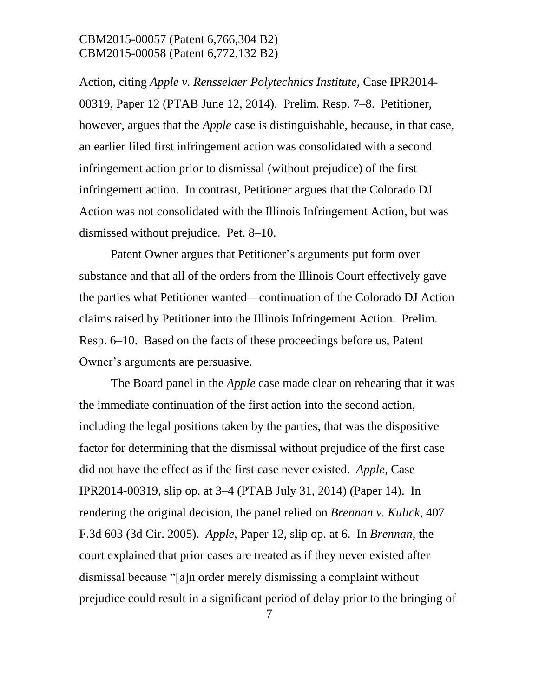Action, citing *Apple v. Rensselaer Polytechnics Institute*, Case IPR2014- 00319, Paper 12 (PTAB June 12, 2014). Prelim. Resp. 7–8. Petitioner, however, argues that the *Apple* case is distinguishable, because, in that case, an earlier filed first infringement action was consolidated with a second infringement action prior to dismissal (without prejudice) of the first infringement action. In contrast, Petitioner argues that the Colorado DJ Action was not consolidated with the Illinois Infringement Action, but was dismissed without prejudice. Pet. 8–10.

Patent Owner argues that Petitioner's arguments put form over substance and that all of the orders from the Illinois Court effectively gave the parties what Petitioner wanted—continuation of the Colorado DJ Action claims raised by Petitioner into the Illinois Infringement Action. Prelim. Resp. 6–10. Based on the facts of these proceedings before us, Patent Owner's arguments are persuasive.

The Board panel in the *Apple* case made clear on rehearing that it was the immediate continuation of the first action into the second action, including the legal positions taken by the parties, that was the dispositive factor for determining that the dismissal without prejudice of the first case did not have the effect as if the first case never existed. *Apple,* Case IPR2014-00319, slip op. at 3–4 (PTAB July 31, 2014) (Paper 14). In rendering the original decision, the panel relied on *Brennan v. Kulick*, 407 F.3d 603 (3d Cir. 2005). *Apple*, Paper 12, slip op. at 6. In *Brennan*, the court explained that prior cases are treated as if they never existed after dismissal because "[a]n order merely dismissing a complaint without prejudice could result in a significant period of delay prior to the bringing of

7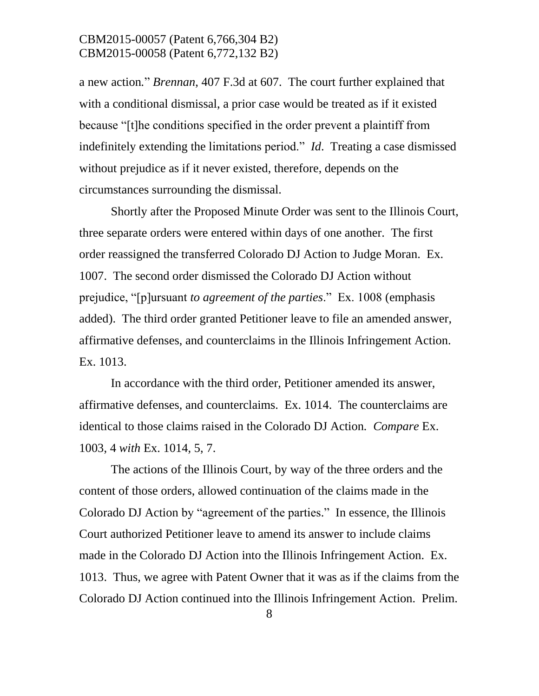a new action*.*" *Brennan*, 407 F.3d at 607. The court further explained that with a conditional dismissal, a prior case would be treated as if it existed because "[t]he conditions specified in the order prevent a plaintiff from indefinitely extending the limitations period." *Id*. Treating a case dismissed without prejudice as if it never existed, therefore, depends on the circumstances surrounding the dismissal.

Shortly after the Proposed Minute Order was sent to the Illinois Court, three separate orders were entered within days of one another. The first order reassigned the transferred Colorado DJ Action to Judge Moran. Ex. 1007. The second order dismissed the Colorado DJ Action without prejudice, "[p]ursuant *to agreement of the parties*." Ex. 1008 (emphasis added). The third order granted Petitioner leave to file an amended answer, affirmative defenses, and counterclaims in the Illinois Infringement Action. Ex. 1013.

In accordance with the third order, Petitioner amended its answer, affirmative defenses, and counterclaims. Ex. 1014. The counterclaims are identical to those claims raised in the Colorado DJ Action*. Compare* Ex. 1003, 4 *with* Ex. 1014, 5, 7.

The actions of the Illinois Court, by way of the three orders and the content of those orders, allowed continuation of the claims made in the Colorado DJ Action by "agreement of the parties." In essence, the Illinois Court authorized Petitioner leave to amend its answer to include claims made in the Colorado DJ Action into the Illinois Infringement Action. Ex. 1013. Thus, we agree with Patent Owner that it was as if the claims from the Colorado DJ Action continued into the Illinois Infringement Action. Prelim.

8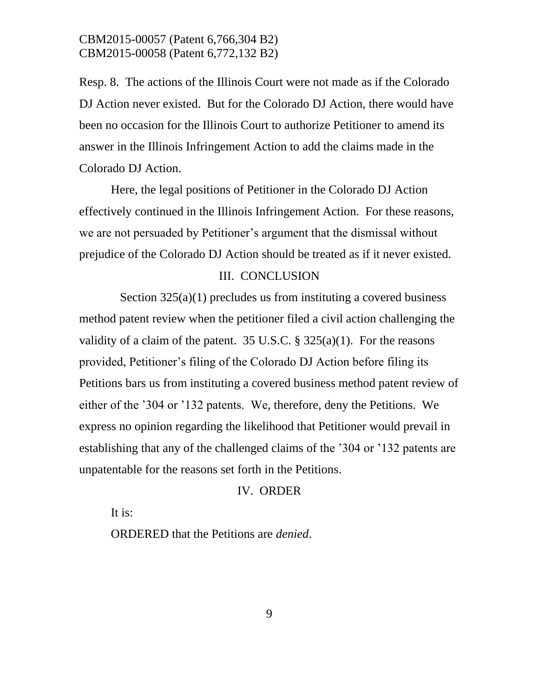Resp. 8. The actions of the Illinois Court were not made as if the Colorado DJ Action never existed. But for the Colorado DJ Action, there would have been no occasion for the Illinois Court to authorize Petitioner to amend its answer in the Illinois Infringement Action to add the claims made in the Colorado DJ Action.

Here, the legal positions of Petitioner in the Colorado DJ Action effectively continued in the Illinois Infringement Action. For these reasons, we are not persuaded by Petitioner's argument that the dismissal without prejudice of the Colorado DJ Action should be treated as if it never existed.

#### III. CONCLUSION

Section 325(a)(1) precludes us from instituting a covered business method patent review when the petitioner filed a civil action challenging the validity of a claim of the patent. 35 U.S.C.  $\S 325(a)(1)$ . For the reasons provided, Petitioner's filing of the Colorado DJ Action before filing its Petitions bars us from instituting a covered business method patent review of either of the '304 or '132 patents. We, therefore, deny the Petitions. We express no opinion regarding the likelihood that Petitioner would prevail in establishing that any of the challenged claims of the '304 or '132 patents are unpatentable for the reasons set forth in the Petitions.

#### IV. ORDER

It is:

ORDERED that the Petitions are *denied*.